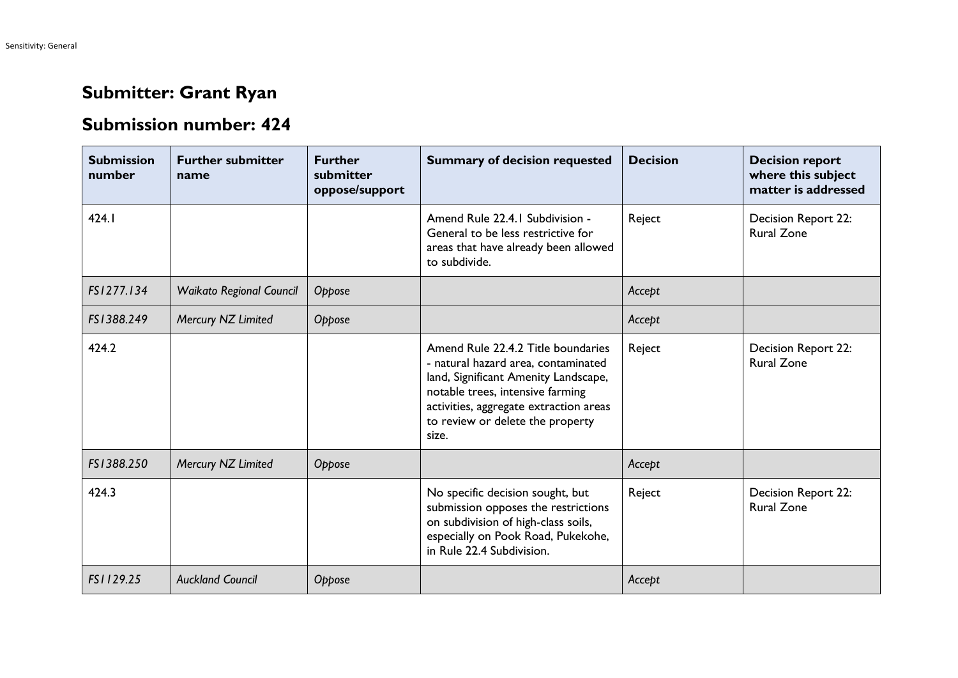## **Submitter: Grant Ryan**

## **Submission number: 424**

| <b>Submission</b><br>number | <b>Further submitter</b><br>name | <b>Further</b><br>submitter<br>oppose/support | <b>Summary of decision requested</b>                                                                                                                                                                                                         | <b>Decision</b> | <b>Decision report</b><br>where this subject<br>matter is addressed |
|-----------------------------|----------------------------------|-----------------------------------------------|----------------------------------------------------------------------------------------------------------------------------------------------------------------------------------------------------------------------------------------------|-----------------|---------------------------------------------------------------------|
| 424.1                       |                                  |                                               | Amend Rule 22.4.1 Subdivision -<br>General to be less restrictive for<br>areas that have already been allowed<br>to subdivide.                                                                                                               | Reject          | <b>Decision Report 22:</b><br><b>Rural Zone</b>                     |
| FS1277.134                  | <b>Waikato Regional Council</b>  | Oppose                                        |                                                                                                                                                                                                                                              | Accept          |                                                                     |
| FS1388.249                  | Mercury NZ Limited               | Oppose                                        |                                                                                                                                                                                                                                              | Accept          |                                                                     |
| 424.2                       |                                  |                                               | Amend Rule 22.4.2 Title boundaries<br>- natural hazard area, contaminated<br>land, Significant Amenity Landscape,<br>notable trees, intensive farming<br>activities, aggregate extraction areas<br>to review or delete the property<br>size. | Reject          | Decision Report 22:<br><b>Rural Zone</b>                            |
| FS1388.250                  | Mercury NZ Limited               | Oppose                                        |                                                                                                                                                                                                                                              | Accept          |                                                                     |
| 424.3                       |                                  |                                               | No specific decision sought, but<br>submission opposes the restrictions<br>on subdivision of high-class soils,<br>especially on Pook Road, Pukekohe,<br>in Rule 22.4 Subdivision.                                                            | Reject          | Decision Report 22:<br><b>Rural Zone</b>                            |
| FS1129.25                   | <b>Auckland Council</b>          | Oppose                                        |                                                                                                                                                                                                                                              | Accept          |                                                                     |